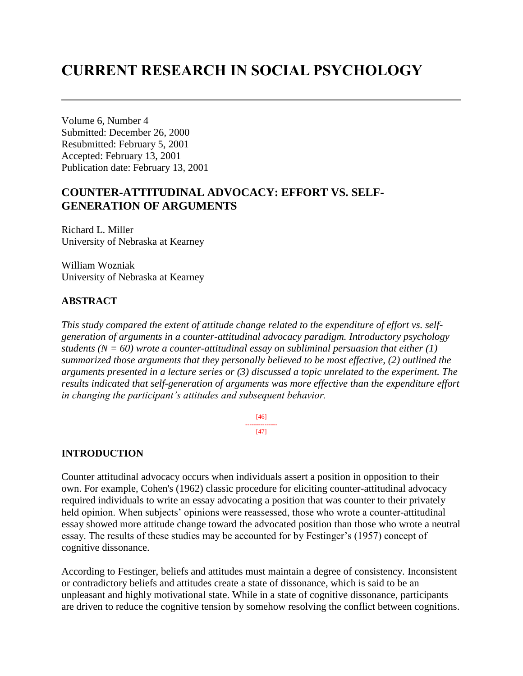# **CURRENT RESEARCH IN SOCIAL PSYCHOLOGY**

Volume 6, Number 4 Submitted: December 26, 2000 Resubmitted: February 5, 2001 Accepted: February 13, 2001 Publication date: February 13, 2001

# **COUNTER-ATTITUDINAL ADVOCACY: EFFORT VS. SELF-GENERATION OF ARGUMENTS**

Richard L. Miller University of Nebraska at Kearney

William Wozniak University of Nebraska at Kearney

### **ABSTRACT**

*This study compared the extent of attitude change related to the expenditure of effort vs. selfgeneration of arguments in a counter-attitudinal advocacy paradigm. Introductory psychology students (N = 60) wrote a counter-attitudinal essay on subliminal persuasion that either (1) summarized those arguments that they personally believed to be most effective, (2) outlined the arguments presented in a lecture series or (3) discussed a topic unrelated to the experiment. The results indicated that self-generation of arguments was more effective than the expenditure effort in changing the participant's attitudes and subsequent behavior.*

> [46] --------------- [47]

#### **INTRODUCTION**

Counter attitudinal advocacy occurs when individuals assert a position in opposition to their own. For example, Cohen's (1962) classic procedure for eliciting counter-attitudinal advocacy required individuals to write an essay advocating a position that was counter to their privately held opinion. When subjects' opinions were reassessed, those who wrote a counter-attitudinal essay showed more attitude change toward the advocated position than those who wrote a neutral essay. The results of these studies may be accounted for by Festinger's (1957) concept of cognitive dissonance.

According to Festinger, beliefs and attitudes must maintain a degree of consistency. Inconsistent or contradictory beliefs and attitudes create a state of dissonance, which is said to be an unpleasant and highly motivational state. While in a state of cognitive dissonance, participants are driven to reduce the cognitive tension by somehow resolving the conflict between cognitions.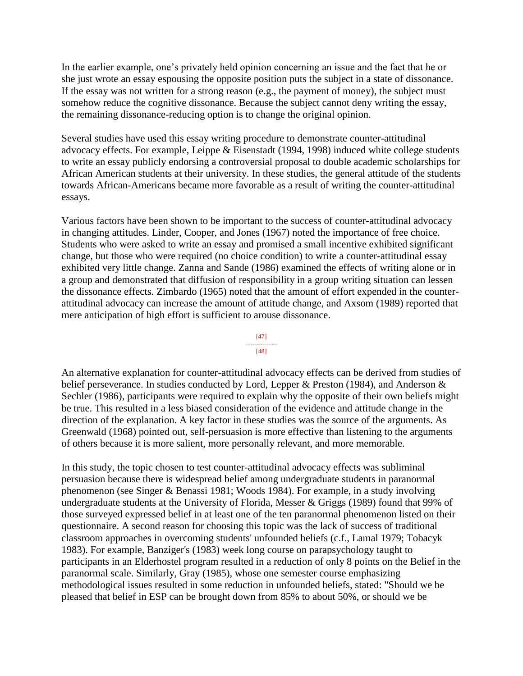In the earlier example, one's privately held opinion concerning an issue and the fact that he or she just wrote an essay espousing the opposite position puts the subject in a state of dissonance. If the essay was not written for a strong reason (e.g., the payment of money), the subject must somehow reduce the cognitive dissonance. Because the subject cannot deny writing the essay, the remaining dissonance-reducing option is to change the original opinion.

Several studies have used this essay writing procedure to demonstrate counter-attitudinal advocacy effects. For example, Leippe & Eisenstadt (1994, 1998) induced white college students to write an essay publicly endorsing a controversial proposal to double academic scholarships for African American students at their university. In these studies, the general attitude of the students towards African-Americans became more favorable as a result of writing the counter-attitudinal essays.

Various factors have been shown to be important to the success of counter-attitudinal advocacy in changing attitudes. Linder, Cooper, and Jones (1967) noted the importance of free choice. Students who were asked to write an essay and promised a small incentive exhibited significant change, but those who were required (no choice condition) to write a counter-attitudinal essay exhibited very little change. Zanna and Sande (1986) examined the effects of writing alone or in a group and demonstrated that diffusion of responsibility in a group writing situation can lessen the dissonance effects. Zimbardo (1965) noted that the amount of effort expended in the counterattitudinal advocacy can increase the amount of attitude change, and Axsom (1989) reported that mere anticipation of high effort is sufficient to arouse dissonance.

#### [47] ---------------

#### [48]

An alternative explanation for counter-attitudinal advocacy effects can be derived from studies of belief perseverance. In studies conducted by Lord, Lepper & Preston (1984), and Anderson & Sechler (1986), participants were required to explain why the opposite of their own beliefs might be true. This resulted in a less biased consideration of the evidence and attitude change in the direction of the explanation. A key factor in these studies was the source of the arguments. As Greenwald (1968) pointed out, self-persuasion is more effective than listening to the arguments of others because it is more salient, more personally relevant, and more memorable.

In this study, the topic chosen to test counter-attitudinal advocacy effects was subliminal persuasion because there is widespread belief among undergraduate students in paranormal phenomenon (see Singer & Benassi 1981; Woods 1984). For example, in a study involving undergraduate students at the University of Florida, Messer & Griggs (1989) found that 99% of those surveyed expressed belief in at least one of the ten paranormal phenomenon listed on their questionnaire. A second reason for choosing this topic was the lack of success of traditional classroom approaches in overcoming students' unfounded beliefs (c.f., Lamal 1979; Tobacyk 1983). For example, Banziger's (1983) week long course on parapsychology taught to participants in an Elderhostel program resulted in a reduction of only 8 points on the Belief in the paranormal scale. Similarly, Gray (1985), whose one semester course emphasizing methodological issues resulted in some reduction in unfounded beliefs, stated: "Should we be pleased that belief in ESP can be brought down from 85% to about 50%, or should we be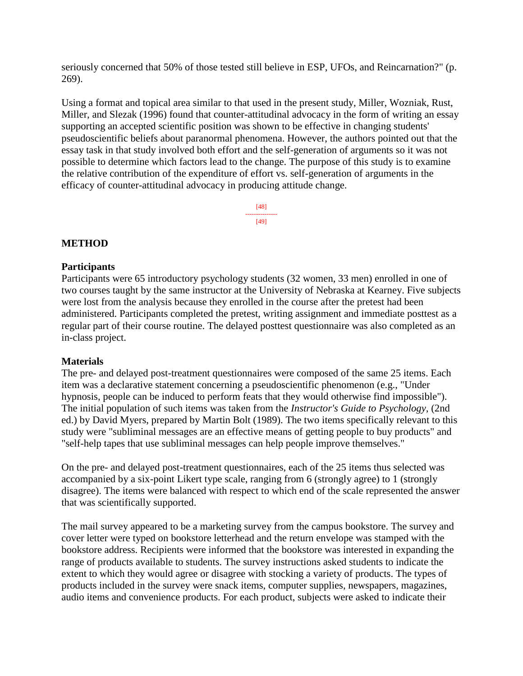seriously concerned that 50% of those tested still believe in ESP, UFOs, and Reincarnation?" (p. 269).

Using a format and topical area similar to that used in the present study, Miller, Wozniak, Rust, Miller, and Slezak (1996) found that counter-attitudinal advocacy in the form of writing an essay supporting an accepted scientific position was shown to be effective in changing students' pseudoscientific beliefs about paranormal phenomena. However, the authors pointed out that the essay task in that study involved both effort and the self-generation of arguments so it was not possible to determine which factors lead to the change. The purpose of this study is to examine the relative contribution of the expenditure of effort vs. self-generation of arguments in the efficacy of counter-attitudinal advocacy in producing attitude change.

> [48] --------------- [49]

### **METHOD**

#### **Participants**

Participants were 65 introductory psychology students (32 women, 33 men) enrolled in one of two courses taught by the same instructor at the University of Nebraska at Kearney. Five subjects were lost from the analysis because they enrolled in the course after the pretest had been administered. Participants completed the pretest, writing assignment and immediate posttest as a regular part of their course routine. The delayed posttest questionnaire was also completed as an in-class project.

#### **Materials**

The pre- and delayed post-treatment questionnaires were composed of the same 25 items. Each item was a declarative statement concerning a pseudoscientific phenomenon (e.g., "Under hypnosis, people can be induced to perform feats that they would otherwise find impossible"). The initial population of such items was taken from the *Instructor's Guide to Psychology*, (2nd ed.) by David Myers, prepared by Martin Bolt (1989). The two items specifically relevant to this study were "subliminal messages are an effective means of getting people to buy products" and "self-help tapes that use subliminal messages can help people improve themselves."

On the pre- and delayed post-treatment questionnaires, each of the 25 items thus selected was accompanied by a six-point Likert type scale, ranging from 6 (strongly agree) to 1 (strongly disagree). The items were balanced with respect to which end of the scale represented the answer that was scientifically supported.

The mail survey appeared to be a marketing survey from the campus bookstore. The survey and cover letter were typed on bookstore letterhead and the return envelope was stamped with the bookstore address. Recipients were informed that the bookstore was interested in expanding the range of products available to students. The survey instructions asked students to indicate the extent to which they would agree or disagree with stocking a variety of products. The types of products included in the survey were snack items, computer supplies, newspapers, magazines, audio items and convenience products. For each product, subjects were asked to indicate their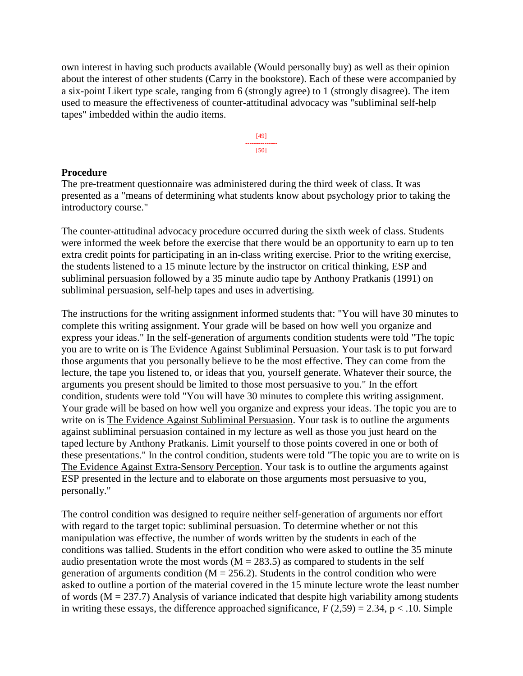own interest in having such products available (Would personally buy) as well as their opinion about the interest of other students (Carry in the bookstore). Each of these were accompanied by a six-point Likert type scale, ranging from 6 (strongly agree) to 1 (strongly disagree). The item used to measure the effectiveness of counter-attitudinal advocacy was "subliminal self-help tapes" imbedded within the audio items.



#### **Procedure**

The pre-treatment questionnaire was administered during the third week of class. It was presented as a "means of determining what students know about psychology prior to taking the introductory course."

The counter-attitudinal advocacy procedure occurred during the sixth week of class. Students were informed the week before the exercise that there would be an opportunity to earn up to ten extra credit points for participating in an in-class writing exercise. Prior to the writing exercise, the students listened to a 15 minute lecture by the instructor on critical thinking, ESP and subliminal persuasion followed by a 35 minute audio tape by Anthony Pratkanis (1991) on subliminal persuasion, self-help tapes and uses in advertising.

The instructions for the writing assignment informed students that: "You will have 30 minutes to complete this writing assignment. Your grade will be based on how well you organize and express your ideas." In the self-generation of arguments condition students were told "The topic you are to write on is The Evidence Against Subliminal Persuasion. Your task is to put forward those arguments that you personally believe to be the most effective. They can come from the lecture, the tape you listened to, or ideas that you, yourself generate. Whatever their source, the arguments you present should be limited to those most persuasive to you." In the effort condition, students were told "You will have 30 minutes to complete this writing assignment. Your grade will be based on how well you organize and express your ideas. The topic you are to write on is The Evidence Against Subliminal Persuasion. Your task is to outline the arguments against subliminal persuasion contained in my lecture as well as those you just heard on the taped lecture by Anthony Pratkanis. Limit yourself to those points covered in one or both of these presentations." In the control condition, students were told "The topic you are to write on is The Evidence Against Extra-Sensory Perception. Your task is to outline the arguments against ESP presented in the lecture and to elaborate on those arguments most persuasive to you, personally."

The control condition was designed to require neither self-generation of arguments nor effort with regard to the target topic: subliminal persuasion. To determine whether or not this manipulation was effective, the number of words written by the students in each of the conditions was tallied. Students in the effort condition who were asked to outline the 35 minute audio presentation wrote the most words  $(M = 283.5)$  as compared to students in the self generation of arguments condition ( $M = 256.2$ ). Students in the control condition who were asked to outline a portion of the material covered in the 15 minute lecture wrote the least number of words ( $M = 237.7$ ) Analysis of variance indicated that despite high variability among students in writing these essays, the difference approached significance,  $F(2,59) = 2.34$ ,  $p < .10$ . Simple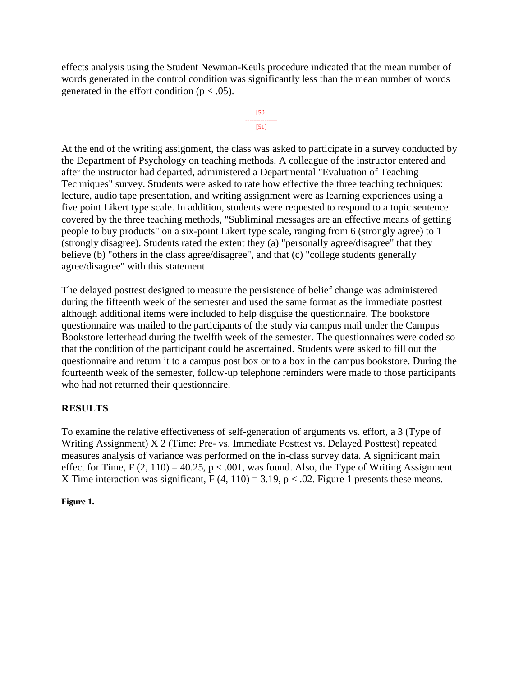effects analysis using the Student Newman-Keuls procedure indicated that the mean number of words generated in the control condition was significantly less than the mean number of words generated in the effort condition ( $p < .05$ ).



At the end of the writing assignment, the class was asked to participate in a survey conducted by the Department of Psychology on teaching methods. A colleague of the instructor entered and after the instructor had departed, administered a Departmental "Evaluation of Teaching Techniques" survey. Students were asked to rate how effective the three teaching techniques: lecture, audio tape presentation, and writing assignment were as learning experiences using a five point Likert type scale. In addition, students were requested to respond to a topic sentence covered by the three teaching methods, "Subliminal messages are an effective means of getting people to buy products" on a six-point Likert type scale, ranging from 6 (strongly agree) to 1 (strongly disagree). Students rated the extent they (a) "personally agree/disagree" that they believe (b) "others in the class agree/disagree", and that (c) "college students generally agree/disagree" with this statement.

The delayed posttest designed to measure the persistence of belief change was administered during the fifteenth week of the semester and used the same format as the immediate posttest although additional items were included to help disguise the questionnaire. The bookstore questionnaire was mailed to the participants of the study via campus mail under the Campus Bookstore letterhead during the twelfth week of the semester. The questionnaires were coded so that the condition of the participant could be ascertained. Students were asked to fill out the questionnaire and return it to a campus post box or to a box in the campus bookstore. During the fourteenth week of the semester, follow-up telephone reminders were made to those participants who had not returned their questionnaire.

# **RESULTS**

To examine the relative effectiveness of self-generation of arguments vs. effort, a 3 (Type of Writing Assignment) X 2 (Time: Pre- vs. Immediate Posttest vs. Delayed Posttest) repeated measures analysis of variance was performed on the in-class survey data. A significant main effect for Time,  $F(2, 110) = 40.25$ ,  $p < .001$ , was found. Also, the Type of Writing Assignment X Time interaction was significant,  $F(4, 110) = 3.19$ ,  $p < .02$ . Figure 1 presents these means.

**Figure 1.**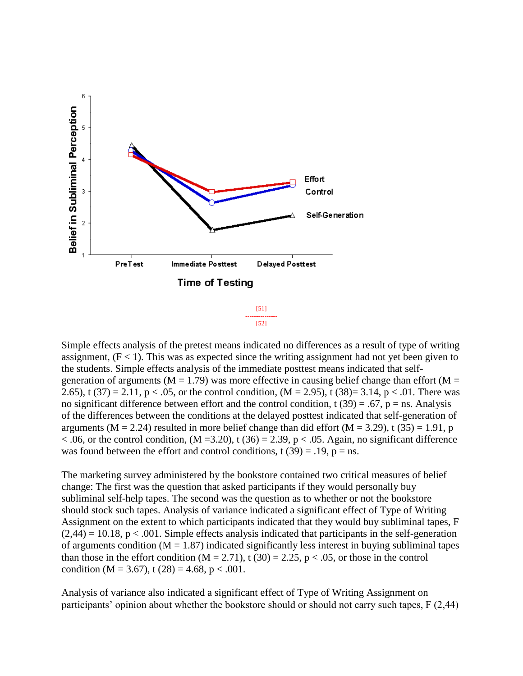

Simple effects analysis of the pretest means indicated no differences as a result of type of writing assignment,  $(F < 1)$ . This was as expected since the writing assignment had not yet been given to the students. Simple effects analysis of the immediate posttest means indicated that selfgeneration of arguments ( $M = 1.79$ ) was more effective in causing belief change than effort ( $M =$ 2.65), t (37) = 2.11, p < .05, or the control condition,  $(M = 2.95)$ , t (38)= 3.14, p < .01. There was no significant difference between effort and the control condition,  $t(39) = .67$ ,  $p = ns$ . Analysis of the differences between the conditions at the delayed posttest indicated that self-generation of arguments ( $M = 2.24$ ) resulted in more belief change than did effort ( $M = 3.29$ ), t (35) = 1.91, p  $< .06$ , or the control condition, (M = 3.20), t (36) = 2.39, p  $< .05$ . Again, no significant difference was found between the effort and control conditions, t  $(39) = .19$ ,  $p = ns$ .

The marketing survey administered by the bookstore contained two critical measures of belief change: The first was the question that asked participants if they would personally buy subliminal self-help tapes. The second was the question as to whether or not the bookstore should stock such tapes. Analysis of variance indicated a significant effect of Type of Writing Assignment on the extent to which participants indicated that they would buy subliminal tapes, F  $(2,44) = 10.18$ , p < .001. Simple effects analysis indicated that participants in the self-generation of arguments condition ( $M = 1.87$ ) indicated significantly less interest in buying subliminal tapes than those in the effort condition  $(M = 2.71)$ , t  $(30) = 2.25$ , p < .05, or those in the control condition (M = 3.67), t (28) = 4.68, p < .001.

Analysis of variance also indicated a significant effect of Type of Writing Assignment on participants' opinion about whether the bookstore should or should not carry such tapes, F (2,44)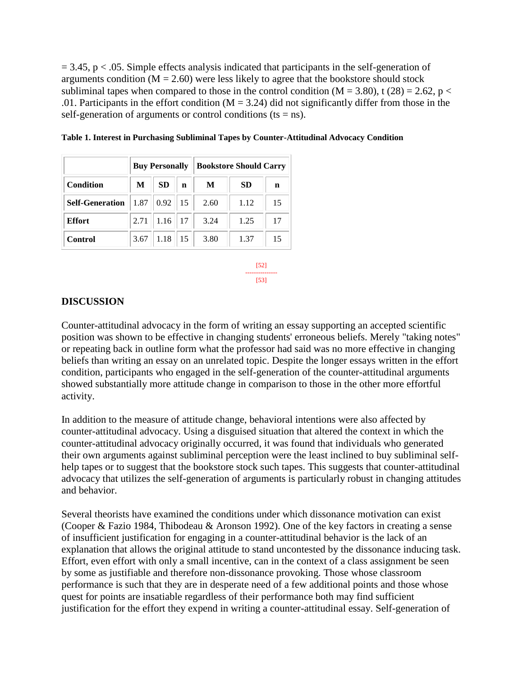$= 3.45$ , p  $< .05$ . Simple effects analysis indicated that participants in the self-generation of arguments condition  $(M = 2.60)$  were less likely to agree that the bookstore should stock subliminal tapes when compared to those in the control condition ( $M = 3.80$ ), t (28) = 2.62, p < .01. Participants in the effort condition ( $M = 3.24$ ) did not significantly differ from those in the self-generation of arguments or control conditions ( $ts = ns$ ).

|                        | <b>Buy Personally</b> |           |    | <b>Bookstore Should Carry</b> |           |    |
|------------------------|-----------------------|-----------|----|-------------------------------|-----------|----|
| Condition              | M                     | <b>SD</b> | n  | M                             | <b>SD</b> | n  |
| <b>Self-Generation</b> | 1.87                  | 0.92      | 15 | 2.60                          | 1.12      | 15 |
| <b>Effort</b>          | 2.71                  | 1.16      | 17 | 3.24                          | 1.25      | 17 |
| Control                | 3.67                  | 1.18      | 15 | 3.80                          | 1.37      | 15 |

**Table 1. Interest in Purchasing Subliminal Tapes by Counter-Attitudinal Advocacy Condition**

[52] --------------- [53]

#### **DISCUSSION**

Counter-attitudinal advocacy in the form of writing an essay supporting an accepted scientific position was shown to be effective in changing students' erroneous beliefs. Merely "taking notes" or repeating back in outline form what the professor had said was no more effective in changing beliefs than writing an essay on an unrelated topic. Despite the longer essays written in the effort condition, participants who engaged in the self-generation of the counter-attitudinal arguments showed substantially more attitude change in comparison to those in the other more effortful activity.

In addition to the measure of attitude change, behavioral intentions were also affected by counter-attitudinal advocacy. Using a disguised situation that altered the context in which the counter-attitudinal advocacy originally occurred, it was found that individuals who generated their own arguments against subliminal perception were the least inclined to buy subliminal selfhelp tapes or to suggest that the bookstore stock such tapes. This suggests that counter-attitudinal advocacy that utilizes the self-generation of arguments is particularly robust in changing attitudes and behavior.

Several theorists have examined the conditions under which dissonance motivation can exist (Cooper & Fazio 1984, Thibodeau & Aronson 1992). One of the key factors in creating a sense of insufficient justification for engaging in a counter-attitudinal behavior is the lack of an explanation that allows the original attitude to stand uncontested by the dissonance inducing task. Effort, even effort with only a small incentive, can in the context of a class assignment be seen by some as justifiable and therefore non-dissonance provoking. Those whose classroom performance is such that they are in desperate need of a few additional points and those whose quest for points are insatiable regardless of their performance both may find sufficient justification for the effort they expend in writing a counter-attitudinal essay. Self-generation of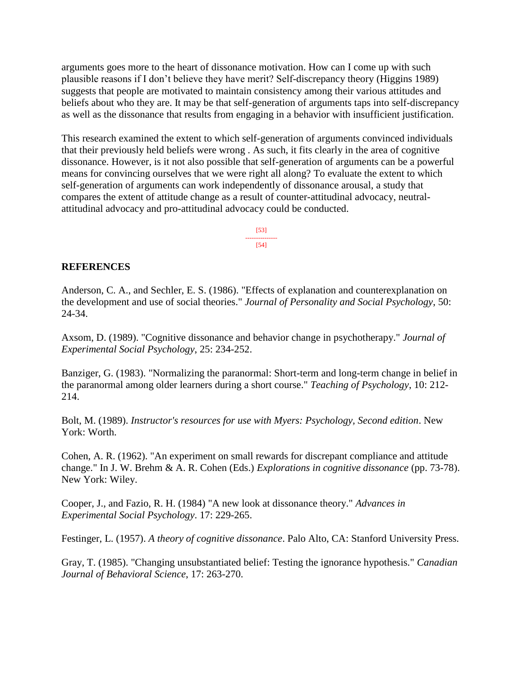arguments goes more to the heart of dissonance motivation. How can I come up with such plausible reasons if I don't believe they have merit? Self-discrepancy theory (Higgins 1989) suggests that people are motivated to maintain consistency among their various attitudes and beliefs about who they are. It may be that self-generation of arguments taps into self-discrepancy as well as the dissonance that results from engaging in a behavior with insufficient justification.

This research examined the extent to which self-generation of arguments convinced individuals that their previously held beliefs were wrong . As such, it fits clearly in the area of cognitive dissonance. However, is it not also possible that self-generation of arguments can be a powerful means for convincing ourselves that we were right all along? To evaluate the extent to which self-generation of arguments can work independently of dissonance arousal, a study that compares the extent of attitude change as a result of counter-attitudinal advocacy, neutralattitudinal advocacy and pro-attitudinal advocacy could be conducted.

> [53] --------------- [54]

#### **REFERENCES**

Anderson, C. A., and Sechler, E. S. (1986). "Effects of explanation and counterexplanation on the development and use of social theories." *Journal of Personality and Social Psychology*, 50: 24-34.

Axsom, D. (1989). "Cognitive dissonance and behavior change in psychotherapy." *Journal of Experimental Social Psychology*, 25: 234-252.

Banziger, G. (1983). "Normalizing the paranormal: Short-term and long-term change in belief in the paranormal among older learners during a short course." *Teaching of Psychology*, 10: 212- 214.

Bolt, M. (1989). *Instructor's resources for use with Myers: Psychology, Second edition*. New York: Worth.

Cohen, A. R. (1962). "An experiment on small rewards for discrepant compliance and attitude change." In J. W. Brehm & A. R. Cohen (Eds.) *Explorations in cognitive dissonance* (pp. 73-78). New York: Wiley.

Cooper, J., and Fazio, R. H. (1984) "A new look at dissonance theory." *Advances in Experimental Social Psychology*. 17: 229-265.

Festinger, L. (1957). *A theory of cognitive dissonance*. Palo Alto, CA: Stanford University Press.

Gray, T. (1985). "Changing unsubstantiated belief: Testing the ignorance hypothesis." *Canadian Journal of Behavioral Science*, 17: 263-270.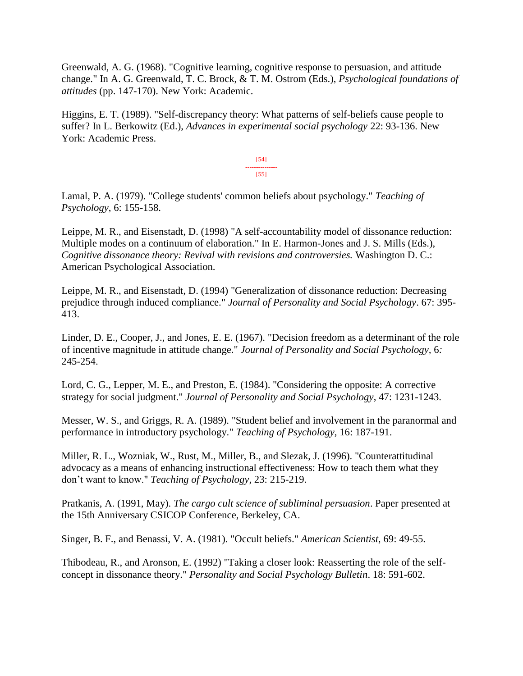Greenwald, A. G. (1968). "Cognitive learning, cognitive response to persuasion, and attitude change." In A. G. Greenwald, T. C. Brock, & T. M. Ostrom (Eds.), *Psychological foundations of attitudes* (pp. 147-170). New York: Academic.

Higgins, E. T. (1989). "Self-discrepancy theory: What patterns of self-beliefs cause people to suffer? In L. Berkowitz (Ed.), *Advances in experimental social psychology* 22: 93-136. New York: Academic Press.

> [54] --------------- [55]

Lamal, P. A. (1979). "College students' common beliefs about psychology." *Teaching of Psychology*, 6: 155-158.

Leippe, M. R., and Eisenstadt, D. (1998) "A self-accountability model of dissonance reduction: Multiple modes on a continuum of elaboration." In E. Harmon-Jones and J. S. Mills (Eds.), *Cognitive dissonance theory: Revival with revisions and controversies.* Washington D. C.: American Psychological Association.

Leippe, M. R., and Eisenstadt, D. (1994) "Generalization of dissonance reduction: Decreasing prejudice through induced compliance." *Journal of Personality and Social Psychology*. 67: 395- 413.

Linder, D. E., Cooper, J., and Jones, E. E. (1967). "Decision freedom as a determinant of the role of incentive magnitude in attitude change." *Journal of Personality and Social Psychology,* 6*:*  245-254.

Lord, C. G., Lepper, M. E., and Preston, E. (1984). "Considering the opposite: A corrective strategy for social judgment." *Journal of Personality and Social Psychology*, 47: 1231-1243.

Messer, W. S., and Griggs, R. A. (1989). "Student belief and involvement in the paranormal and performance in introductory psychology." *Teaching of Psychology*, 16: 187-191.

Miller, R. L., Wozniak, W., Rust, M., Miller, B., and Slezak, J. (1996). "Counterattitudinal advocacy as a means of enhancing instructional effectiveness: How to teach them what they don't want to know." *Teaching of Psychology*, 23: 215-219.

Pratkanis, A. (1991, May). *The cargo cult science of subliminal persuasion*. Paper presented at the 15th Anniversary CSICOP Conference, Berkeley, CA.

Singer, B. F., and Benassi, V. A. (1981). "Occult beliefs." *American Scientist*, 69: 49-55.

Thibodeau, R., and Aronson, E. (1992) "Taking a closer look: Reasserting the role of the selfconcept in dissonance theory." *Personality and Social Psychology Bulletin*. 18: 591-602.